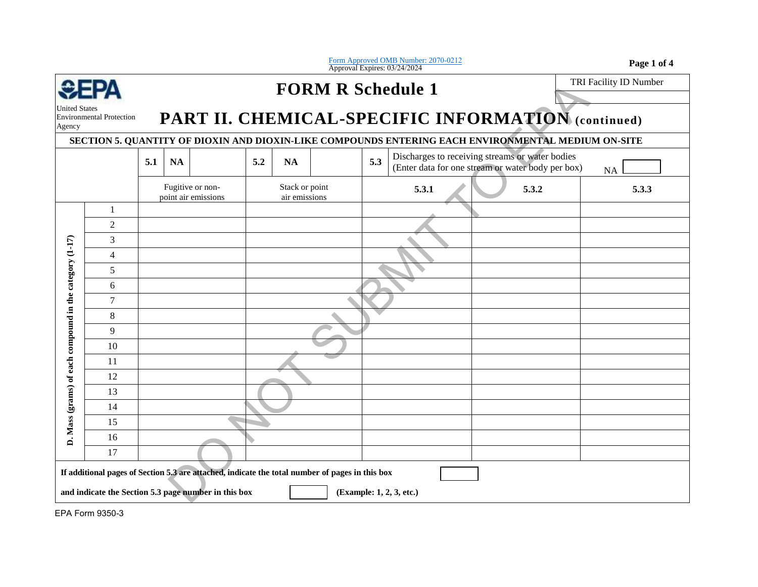|                                                                                                                                                                                     |                                 |                                         |           |  |                                 |           |  |                | Form Approved OMB Number: 2070-0212<br>Approval Expires: 03/24/2024                                  | Page 1 of 4            |  |  |
|-------------------------------------------------------------------------------------------------------------------------------------------------------------------------------------|---------------------------------|-----------------------------------------|-----------|--|---------------------------------|-----------|--|----------------|------------------------------------------------------------------------------------------------------|------------------------|--|--|
|                                                                                                                                                                                     | SEPA                            | <b>FORM R Schedule 1</b>                |           |  |                                 |           |  |                |                                                                                                      | TRI Facility ID Number |  |  |
| United States                                                                                                                                                                       |                                 |                                         |           |  |                                 |           |  |                |                                                                                                      |                        |  |  |
| Agency                                                                                                                                                                              | <b>Environmental Protection</b> |                                         |           |  |                                 |           |  |                | PART II. CHEMICAL-SPECIFIC INFORMATION (continued)                                                   |                        |  |  |
|                                                                                                                                                                                     |                                 |                                         |           |  |                                 |           |  |                | SECTION 5. QUANTITY OF DIOXIN AND DIOXIN-LIKE COMPOUNDS ENTERING EACH ENVIRONMENTAL MEDIUM ON-SITE   |                        |  |  |
|                                                                                                                                                                                     |                                 | 5.1                                     | <b>NA</b> |  | 5.2                             | <b>NA</b> |  | 5.3            | Discharges to receiving streams or water bodies<br>(Enter data for one stream or water body per box) | <b>NA</b>              |  |  |
|                                                                                                                                                                                     |                                 | Fugitive or non-<br>point air emissions |           |  | Stack or point<br>air emissions |           |  | 5.3.1<br>5.3.2 | 5.3.3                                                                                                |                        |  |  |
|                                                                                                                                                                                     | 1                               |                                         |           |  |                                 |           |  |                |                                                                                                      |                        |  |  |
|                                                                                                                                                                                     | $\overline{2}$                  |                                         |           |  |                                 |           |  |                |                                                                                                      |                        |  |  |
|                                                                                                                                                                                     | 3                               |                                         |           |  |                                 |           |  |                |                                                                                                      |                        |  |  |
|                                                                                                                                                                                     | $\overline{4}$                  |                                         |           |  |                                 |           |  |                |                                                                                                      |                        |  |  |
|                                                                                                                                                                                     | $\sqrt{5}$                      |                                         |           |  |                                 |           |  |                |                                                                                                      |                        |  |  |
|                                                                                                                                                                                     | 6                               |                                         |           |  |                                 |           |  |                |                                                                                                      |                        |  |  |
|                                                                                                                                                                                     | $\overline{7}$                  |                                         |           |  |                                 |           |  |                |                                                                                                      |                        |  |  |
|                                                                                                                                                                                     | $\,8\,$<br>9                    |                                         |           |  |                                 |           |  |                |                                                                                                      |                        |  |  |
|                                                                                                                                                                                     | 10                              |                                         |           |  |                                 |           |  |                |                                                                                                      |                        |  |  |
|                                                                                                                                                                                     | 11                              |                                         |           |  |                                 |           |  |                |                                                                                                      |                        |  |  |
|                                                                                                                                                                                     | 12                              |                                         |           |  |                                 |           |  |                |                                                                                                      |                        |  |  |
|                                                                                                                                                                                     | 13                              |                                         |           |  |                                 |           |  |                |                                                                                                      |                        |  |  |
| Mass (grams) of each compound in the category (1-17)                                                                                                                                | 14                              |                                         |           |  |                                 |           |  |                |                                                                                                      |                        |  |  |
|                                                                                                                                                                                     | 15                              |                                         |           |  |                                 |           |  |                |                                                                                                      |                        |  |  |
| $\dot{a}$                                                                                                                                                                           | 16                              |                                         |           |  |                                 |           |  |                |                                                                                                      |                        |  |  |
|                                                                                                                                                                                     | 17                              |                                         |           |  |                                 |           |  |                |                                                                                                      |                        |  |  |
| If additional pages of Section 5.3 are attached, indicate the total number of pages in this box<br>and indicate the Section 5.3 page number in this box<br>(Example: 1, 2, 3, etc.) |                                 |                                         |           |  |                                 |           |  |                |                                                                                                      |                        |  |  |
|                                                                                                                                                                                     |                                 |                                         |           |  |                                 |           |  |                |                                                                                                      |                        |  |  |

EPA Form 9350-3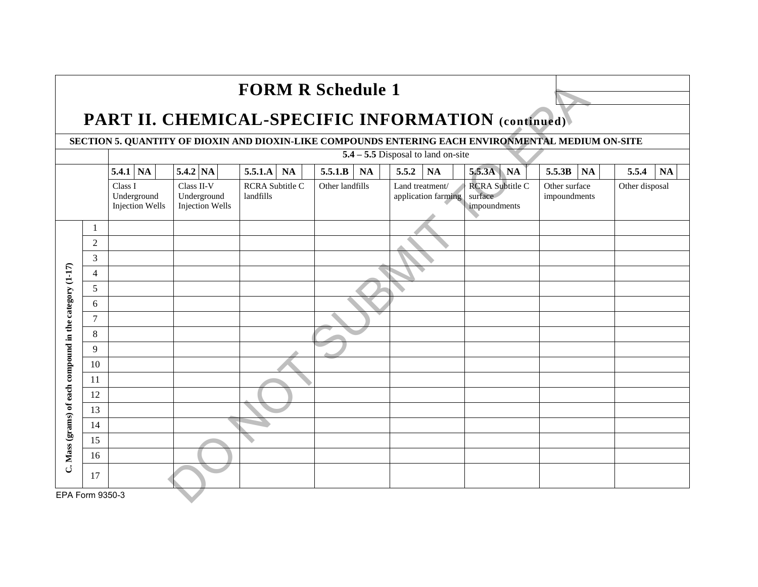| <b>FORM R Schedule 1</b>                                   |                                                                                                    |                                                  |                                                                                            |                      |                      |                                                                                             |                               |                    |  |  |  |  |  |  |
|------------------------------------------------------------|----------------------------------------------------------------------------------------------------|--------------------------------------------------|--------------------------------------------------------------------------------------------|----------------------|----------------------|---------------------------------------------------------------------------------------------|-------------------------------|--------------------|--|--|--|--|--|--|
| <b>PART II. CHEMICAL-SPECIFIC INFORMATION (continued).</b> |                                                                                                    |                                                  |                                                                                            |                      |                      |                                                                                             |                               |                    |  |  |  |  |  |  |
|                                                            | SECTION 5. QUANTITY OF DIOXIN AND DIOXIN-LIKE COMPOUNDS ENTERING EACH ENVIRONMENTAL MEDIUM ON-SITE |                                                  |                                                                                            |                      |                      |                                                                                             |                               |                    |  |  |  |  |  |  |
|                                                            | $5.4 - 5.5$ Disposal to land on-site                                                               |                                                  |                                                                                            |                      |                      |                                                                                             |                               |                    |  |  |  |  |  |  |
|                                                            |                                                                                                    | $5.4.1$ NA                                       | 5.4.2 NA                                                                                   | 5.5.1.A<br><b>NA</b> | 5.5.1.B<br><b>NA</b> | 5.5.3A NA<br>5.5.2<br><b>NA</b>                                                             | 5.5.3B<br><b>NA</b>           | 5.5.4<br><b>NA</b> |  |  |  |  |  |  |
|                                                            |                                                                                                    | Class I<br>Underground<br><b>Injection Wells</b> | <b>RCRA</b> Subtitle C<br>Class II-V<br>landfills<br>Underground<br><b>Injection Wells</b> |                      | Other landfills      | <b>RCRA Subtitle C</b><br>Land treatment/<br>surface<br>application farming<br>impoundments | Other surface<br>impoundments | Other disposal     |  |  |  |  |  |  |
|                                                            | 1                                                                                                  |                                                  |                                                                                            |                      |                      |                                                                                             |                               |                    |  |  |  |  |  |  |
|                                                            | 2                                                                                                  |                                                  |                                                                                            |                      |                      |                                                                                             |                               |                    |  |  |  |  |  |  |
|                                                            | 3                                                                                                  |                                                  |                                                                                            |                      |                      |                                                                                             |                               |                    |  |  |  |  |  |  |
|                                                            | $\overline{4}$                                                                                     |                                                  |                                                                                            |                      |                      |                                                                                             |                               |                    |  |  |  |  |  |  |
|                                                            | 5                                                                                                  |                                                  |                                                                                            |                      |                      |                                                                                             |                               |                    |  |  |  |  |  |  |
|                                                            | 6                                                                                                  |                                                  |                                                                                            |                      |                      |                                                                                             |                               |                    |  |  |  |  |  |  |
|                                                            | $\tau$                                                                                             |                                                  |                                                                                            |                      |                      |                                                                                             |                               |                    |  |  |  |  |  |  |
|                                                            | 8                                                                                                  |                                                  |                                                                                            |                      |                      |                                                                                             |                               |                    |  |  |  |  |  |  |
|                                                            | 9                                                                                                  |                                                  |                                                                                            |                      |                      |                                                                                             |                               |                    |  |  |  |  |  |  |
|                                                            | 10                                                                                                 |                                                  |                                                                                            |                      |                      |                                                                                             |                               |                    |  |  |  |  |  |  |
|                                                            | 11                                                                                                 |                                                  |                                                                                            |                      |                      |                                                                                             |                               |                    |  |  |  |  |  |  |
|                                                            | 12                                                                                                 |                                                  |                                                                                            |                      |                      |                                                                                             |                               |                    |  |  |  |  |  |  |
|                                                            | 13                                                                                                 |                                                  |                                                                                            |                      |                      |                                                                                             |                               |                    |  |  |  |  |  |  |
|                                                            | 14                                                                                                 |                                                  |                                                                                            |                      |                      |                                                                                             |                               |                    |  |  |  |  |  |  |
| C. Mass (grams) of each compound in the category (1-17)    | 15                                                                                                 |                                                  |                                                                                            |                      |                      |                                                                                             |                               |                    |  |  |  |  |  |  |
|                                                            | 16                                                                                                 |                                                  |                                                                                            |                      |                      |                                                                                             |                               |                    |  |  |  |  |  |  |
|                                                            | 17                                                                                                 |                                                  |                                                                                            |                      |                      |                                                                                             |                               |                    |  |  |  |  |  |  |
| EPA Form 9350-3                                            |                                                                                                    |                                                  |                                                                                            |                      |                      |                                                                                             |                               |                    |  |  |  |  |  |  |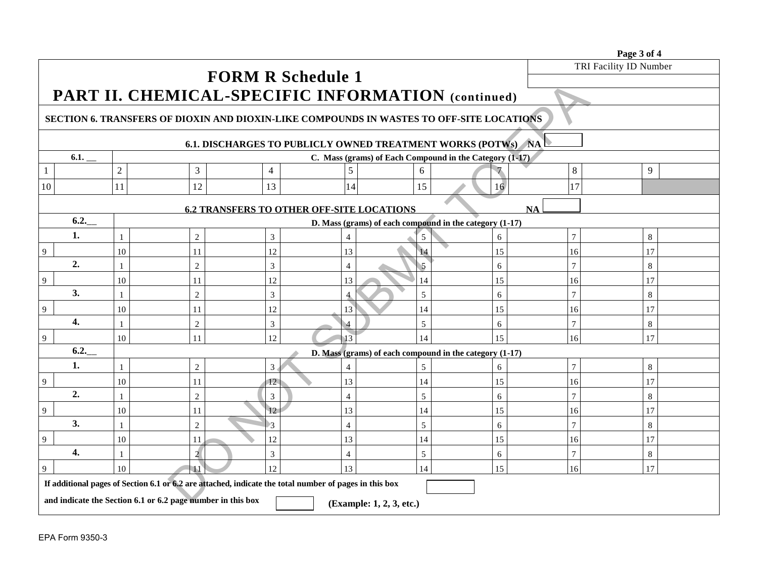|                                                                                                        |                                                         |                 |                 |                |                                                           |    |                | Page 3 of 4            |  |  |  |  |
|--------------------------------------------------------------------------------------------------------|---------------------------------------------------------|-----------------|-----------------|----------------|-----------------------------------------------------------|----|----------------|------------------------|--|--|--|--|
|                                                                                                        |                                                         |                 |                 |                |                                                           |    |                | TRI Facility ID Number |  |  |  |  |
|                                                                                                        | <b>FORM R Schedule 1</b>                                |                 |                 |                |                                                           |    |                |                        |  |  |  |  |
| PART II. CHEMICAL-SPECIFIC INFORMATION (continued)                                                     |                                                         |                 |                 |                |                                                           |    |                |                        |  |  |  |  |
| SECTION 6. TRANSFERS OF DIOXIN AND DIOXIN-LIKE COMPOUNDS IN WASTES TO OFF-SITE LOCATIONS               |                                                         |                 |                 |                |                                                           |    |                |                        |  |  |  |  |
|                                                                                                        |                                                         |                 |                 |                |                                                           |    |                |                        |  |  |  |  |
| <b>6.1. DISCHARGES TO PUBLICLY OWNED TREATMENT WORKS (POTWs) NA</b>                                    |                                                         |                 |                 |                |                                                           |    |                |                        |  |  |  |  |
| 6.1.                                                                                                   | C. Mass (grams) of Each Compound in the Category (1-17) |                 |                 |                |                                                           |    |                |                        |  |  |  |  |
|                                                                                                        | $\overline{2}$                                          | 3               | $\overline{4}$  | 5              | 6                                                         |    | 8              | 9                      |  |  |  |  |
| 10                                                                                                     | 11                                                      | 12              | 13              | 14             | 15                                                        | 16 | 17             |                        |  |  |  |  |
| <b>6.2 TRANSFERS TO OTHER OFF-SITE LOCATIONS</b><br><b>NA</b>                                          |                                                         |                 |                 |                |                                                           |    |                |                        |  |  |  |  |
| 6.2.<br>D. Mass (grams) of each compound in the category (1-17)                                        |                                                         |                 |                 |                |                                                           |    |                |                        |  |  |  |  |
| 1.                                                                                                     | $\mathbf{1}$                                            | $\overline{2}$  | $\mathfrak{Z}$  | 4              | 5                                                         | 6  | $\overline{7}$ | $\,8\,$                |  |  |  |  |
| 9                                                                                                      | 10                                                      | 11              | 12              | 13             | 14                                                        | 15 | 16             | 17                     |  |  |  |  |
| 2.                                                                                                     | $\mathbf{1}$                                            | $\overline{2}$  | $\overline{3}$  | $\overline{4}$ | $\overline{5}$                                            | 6  | $\overline{7}$ | 8                      |  |  |  |  |
| 9                                                                                                      | 10                                                      | 11              | 12              | 13             | 14                                                        | 15 | 16             | 17                     |  |  |  |  |
| 3.                                                                                                     | 1                                                       | $\overline{c}$  | $\overline{3}$  | $\overline{4}$ | 5                                                         | 6  | $\overline{7}$ | 8                      |  |  |  |  |
| 9                                                                                                      | 10                                                      | 11              | 12              | 13             | 14                                                        | 15 | 16             | 17                     |  |  |  |  |
| 4.                                                                                                     | 1                                                       | $\overline{2}$  | $\overline{3}$  | 4              | 5                                                         | 6  | $\overline{7}$ | 8                      |  |  |  |  |
| 9                                                                                                      | 10                                                      | 11              | 12              | 13             | 14                                                        | 15 | 16             | 17                     |  |  |  |  |
| 6.2.                                                                                                   |                                                         |                 |                 |                | D. Mass (grams) of each compound in the category $(1-17)$ |    |                |                        |  |  |  |  |
| 1.                                                                                                     | $\mathbf{1}$                                            | $\overline{2}$  | 3 <sub>1</sub>  | 4              | 5                                                         | 6  | $\overline{7}$ | 8                      |  |  |  |  |
| 9                                                                                                      | 10                                                      | 11              | 12              | 13             | 14                                                        | 15 | 16             | 17                     |  |  |  |  |
| 2.                                                                                                     | $\mathbf{1}$                                            | 2               | 3               | $\overline{4}$ | 5                                                         | 6  | $\overline{7}$ | 8                      |  |  |  |  |
| 9                                                                                                      | 10                                                      | 11              | 12              | 13             | 14                                                        | 15 | 16             | 17                     |  |  |  |  |
| 3.                                                                                                     | 1                                                       | $\overline{2}$  | $\beta$         | $\overline{4}$ | 5                                                         | 6  | $\overline{7}$ | 8                      |  |  |  |  |
| 9                                                                                                      | 10                                                      | 11              | 12              | 13             | 14                                                        | 15 | 16             | 17                     |  |  |  |  |
| 4.                                                                                                     | $\mathbf{1}$                                            | $\overline{2}$  | 3               | $\overline{4}$ | 5                                                         | 6  | $\overline{7}$ | 8                      |  |  |  |  |
| 9                                                                                                      | 10                                                      | $\overline{11}$ | 12 <sub>1</sub> | 13             | 14                                                        | 15 | 16             | 17                     |  |  |  |  |
| If additional pages of Section 6.1 or 6.2 are attached, indicate the total number of pages in this box |                                                         |                 |                 |                |                                                           |    |                |                        |  |  |  |  |
| and indicate the Section 6.1 or 6.2 page number in this box<br>(Example: 1, 2, 3, etc.)                |                                                         |                 |                 |                |                                                           |    |                |                        |  |  |  |  |
|                                                                                                        |                                                         |                 |                 |                |                                                           |    |                |                        |  |  |  |  |